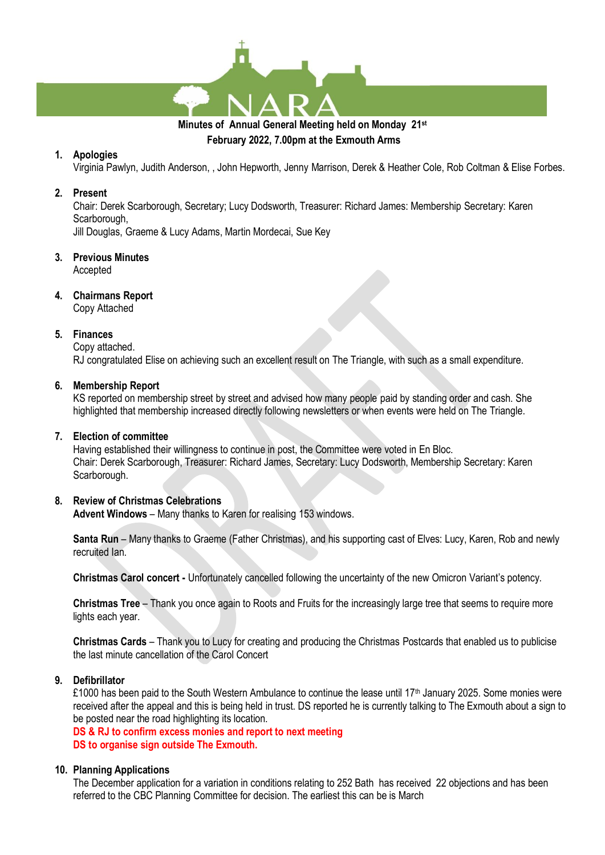

# **February 2022, 7.00pm at the Exmouth Arms**

#### **1. Apologies**

Virginia Pawlyn, Judith Anderson, , John Hepworth, Jenny Marrison, Derek & Heather Cole, Rob Coltman & Elise Forbes.

#### **2. Present**

Chair: Derek Scarborough, Secretary; Lucy Dodsworth, Treasurer: Richard James: Membership Secretary: Karen Scarborough,

Jill Douglas, Graeme & Lucy Adams, Martin Mordecai, Sue Key

- **3. Previous Minutes** Accepted
- **4. Chairmans Report**

Copy Attached

#### **5. Finances**

Copy attached.

RJ congratulated Elise on achieving such an excellent result on The Triangle, with such as a small expenditure.

#### **6. Membership Report**

KS reported on membership street by street and advised how many people paid by standing order and cash. She highlighted that membership increased directly following newsletters or when events were held on The Triangle.

#### **7. Election of committee**

Having established their willingness to continue in post, the Committee were voted in En Bloc. Chair: Derek Scarborough, Treasurer: Richard James, Secretary: Lucy Dodsworth, Membership Secretary: Karen Scarborough.

## **8. Review of Christmas Celebrations**

**Advent Windows** – Many thanks to Karen for realising 153 windows.

**Santa Run** – Many thanks to Graeme (Father Christmas), and his supporting cast of Elves: Lucy, Karen, Rob and newly recruited Ian.

**Christmas Carol concert -** Unfortunately cancelled following the uncertainty of the new Omicron Variant's potency.

**Christmas Tree** – Thank you once again to Roots and Fruits for the increasingly large tree that seems to require more lights each year.

**Christmas Cards** – Thank you to Lucy for creating and producing the Christmas Postcards that enabled us to publicise the last minute cancellation of the Carol Concert

#### **9. Defibrillator**

£1000 has been paid to the South Western Ambulance to continue the lease until 17<sup>th</sup> January 2025. Some monies were received after the appeal and this is being held in trust. DS reported he is currently talking to The Exmouth about a sign to be posted near the road highlighting its location.

**DS & RJ to confirm excess monies and report to next meeting DS to organise sign outside The Exmouth.**

## **10. Planning Applications**

The December application for a variation in conditions relating to 252 Bath has received 22 objections and has been referred to the CBC Planning Committee for decision. The earliest this can be is March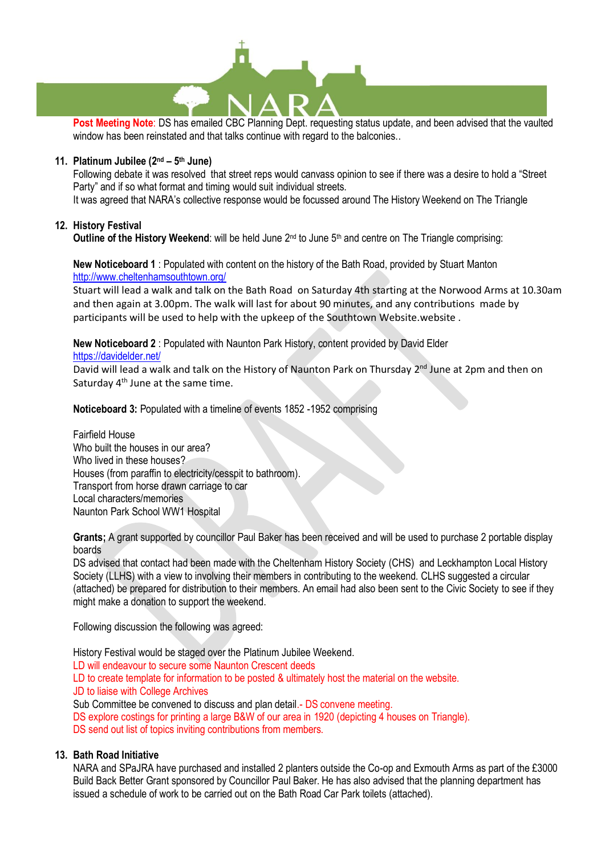

**Post Meeting Note**: DS has emailed CBC Planning Dept. requesting status update, and been advised that the vaulted window has been reinstated and that talks continue with regard to the balconies..

#### **11. Platinum Jubilee (2nd – 5 th June)**

Following debate it was resolved that street reps would canvass opinion to see if there was a desire to hold a "Street Party" and if so what format and timing would suit individual streets. It was agreed that NARA's collective response would be focussed around The History Weekend on The Triangle

#### **12. History Festival**

**Outline of the History Weekend:** will be held June 2<sup>nd</sup> to June 5<sup>th</sup> and centre on The Triangle comprising:

#### **New Noticeboard 1** : Populated with content on the history of the Bath Road, provided by Stuart Manton <http://www.cheltenhamsouthtown.org/>

Stuart will lead a walk and talk on the Bath Road on Saturday 4th starting at the Norwood Arms at 10.30am and then again at 3.00pm. The walk will last for about 90 minutes, and any contributions made by participants will be used to help with the upkeep of the Southtown Website.website .

**New Noticeboard 2** : Populated with Naunton Park History, content provided by David Elder

<https://davidelder.net/>

David will lead a walk and talk on the History of Naunton Park on Thursday 2<sup>nd</sup> June at 2pm and then on Saturday 4<sup>th</sup> June at the same time.

**Noticeboard 3:** Populated with a timeline of events 1852 -1952 comprising

Fairfield House Who built the houses in our area? Who lived in these houses? Houses (from paraffin to electricity/cesspit to bathroom). Transport from horse drawn carriage to car Local characters/memories Naunton Park School WW1 Hospital

**Grants;** A grant supported by councillor Paul Baker has been received and will be used to purchase 2 portable display boards

DS advised that contact had been made with the Cheltenham History Society (CHS) and Leckhampton Local History Society (LLHS) with a view to involving their members in contributing to the weekend. CLHS suggested a circular (attached) be prepared for distribution to their members. An email had also been sent to the Civic Society to see if they might make a donation to support the weekend.

Following discussion the following was agreed:

History Festival would be staged over the Platinum Jubilee Weekend.

LD will endeavour to secure some Naunton Crescent deeds

LD to create template for information to be posted & ultimately host the material on the website. JD to liaise with College Archives

Sub Committee be convened to discuss and plan detail.- DS convene meeting.

DS explore costings for printing a large B&W of our area in 1920 (depicting 4 houses on Triangle). DS send out list of topics inviting contributions from members.

## **13. Bath Road Initiative**

NARA and SPaJRA have purchased and installed 2 planters outside the Co-op and Exmouth Arms as part of the £3000 Build Back Better Grant sponsored by Councillor Paul Baker. He has also advised that the planning department has issued a schedule of work to be carried out on the Bath Road Car Park toilets (attached).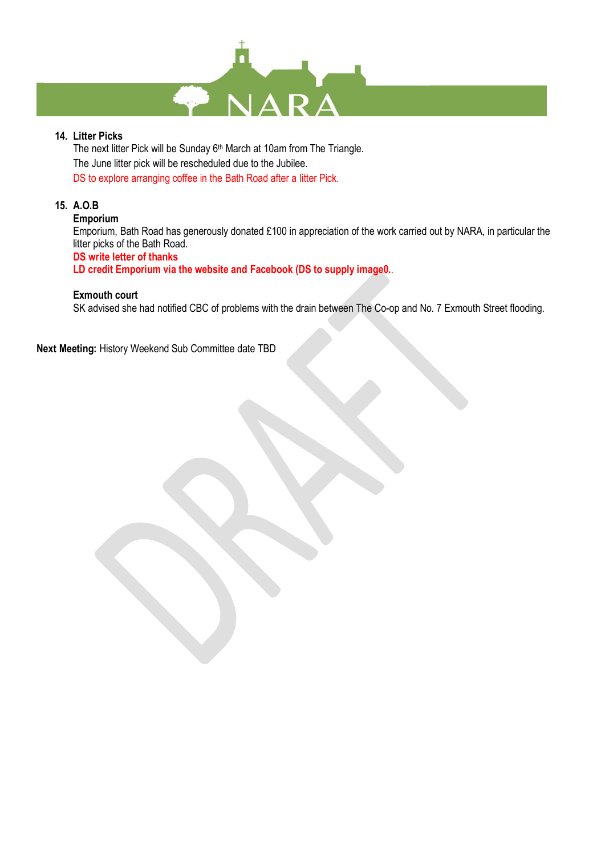

## **14. Litter Picks**

The next litter Pick will be Sunday 6<sup>th</sup> March at 10am from The Triangle. The June litter pick will be rescheduled due to the Jubilee. DS to explore arranging coffee in the Bath Road after a litter Pick.

## **15. A.O.B**

#### **Emporium**

Emporium, Bath Road has generously donated £100 in appreciation of the work carried out by NARA, in particular the litter picks of the Bath Road. **DS write letter of thanks**

**LD credit Emporium via the website and Facebook (DS to supply image0.**.

#### **Exmouth court**

SK advised she had notified CBC of problems with the drain between The Co-op and No. 7 Exmouth Street flooding.

**Next Meeting:** History Weekend Sub Committee date TBD